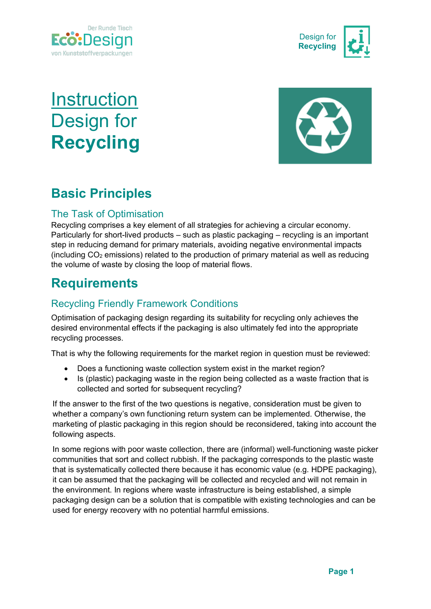



# **Instruction** Design for **Recycling**



# **Basic Principles**

# The Task of Optimisation

Recycling comprises a key element of all strategies for achieving a circular economy. Particularly for short-lived products – such as plastic packaging – recycling is an important step in reducing demand for primary materials, avoiding negative environmental impacts (including  $CO<sub>2</sub>$  emissions) related to the production of primary material as well as reducing the volume of waste by closing the loop of material flows.

# **Requirements**

# Recycling Friendly Framework Conditions

Optimisation of packaging design regarding its suitability for recycling only achieves the desired environmental effects if the packaging is also ultimately fed into the appropriate recycling processes.

That is why the following requirements for the market region in question must be reviewed:

- Does a functioning waste collection system exist in the market region?
- Is (plastic) packaging waste in the region being collected as a waste fraction that is collected and sorted for subsequent recycling?

If the answer to the first of the two questions is negative, consideration must be given to whether a company's own functioning return system can be implemented. Otherwise, the marketing of plastic packaging in this region should be reconsidered, taking into account the following aspects.

In some regions with poor waste collection, there are (informal) well-functioning waste picker communities that sort and collect rubbish. If the packaging corresponds to the plastic waste that is systematically collected there because it has economic value (e.g. HDPE packaging), it can be assumed that the packaging will be collected and recycled and will not remain in the environment. In regions where waste infrastructure is being established, a simple packaging design can be a solution that is compatible with existing technologies and can be used for energy recovery with no potential harmful emissions.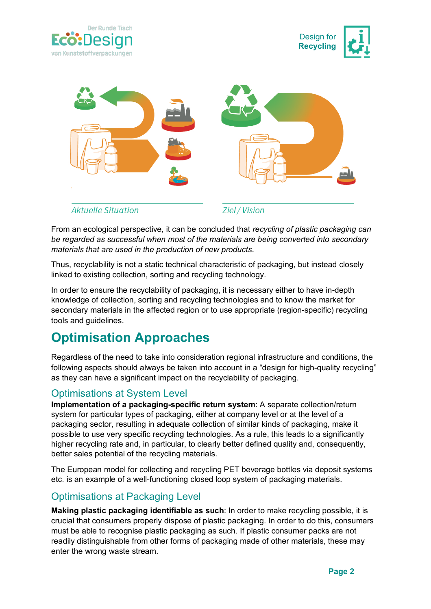





From an ecological perspective, it can be concluded that *recycling of plastic packaging can be regarded as successful when most of the materials are being converted into secondary materials that are used in the production of new products*.

Thus, recyclability is not a static technical characteristic of packaging, but instead closely linked to existing collection, sorting and recycling technology.

In order to ensure the recyclability of packaging, it is necessary either to have in-depth knowledge of collection, sorting and recycling technologies and to know the market for secondary materials in the affected region or to use appropriate (region-specific) recycling tools and guidelines.

# **Optimisation Approaches**

Regardless of the need to take into consideration regional infrastructure and conditions, the following aspects should always be taken into account in a "design for high-quality recycling" as they can have a significant impact on the recyclability of packaging.

#### Optimisations at System Level

**Implementation of a packaging-specific return system**: A separate collection/return system for particular types of packaging, either at company level or at the level of a packaging sector, resulting in adequate collection of similar kinds of packaging, make it possible to use very specific recycling technologies. As a rule, this leads to a significantly higher recycling rate and, in particular, to clearly better defined quality and, consequently, better sales potential of the recycling materials.

The European model for collecting and recycling PET beverage bottles via deposit systems etc. is an example of a well-functioning closed loop system of packaging materials.

### Optimisations at Packaging Level

**Making plastic packaging identifiable as such**: In order to make recycling possible, it is crucial that consumers properly dispose of plastic packaging. In order to do this, consumers must be able to recognise plastic packaging as such. If plastic consumer packs are not readily distinguishable from other forms of packaging made of other materials, these may enter the wrong waste stream.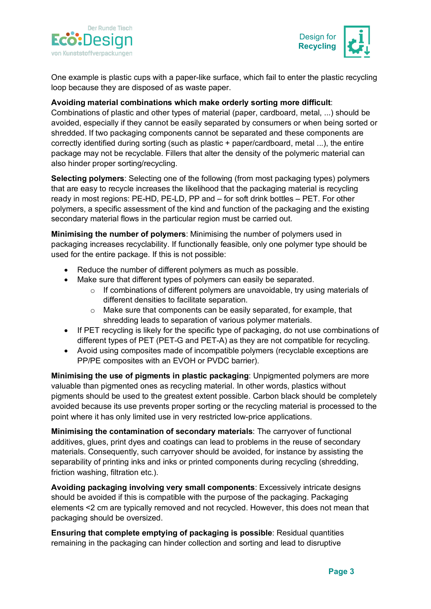



One example is plastic cups with a paper-like surface, which fail to enter the plastic recycling loop because they are disposed of as waste paper.

#### **Avoiding material combinations which make orderly sorting more difficult**:

Combinations of plastic and other types of material (paper, cardboard, metal, ...) should be avoided, especially if they cannot be easily separated by consumers or when being sorted or shredded. If two packaging components cannot be separated and these components are correctly identified during sorting (such as plastic + paper/cardboard, metal ...), the entire package may not be recyclable. Fillers that alter the density of the polymeric material can also hinder proper sorting/recycling.

**Selecting polymers**: Selecting one of the following (from most packaging types) polymers that are easy to recycle increases the likelihood that the packaging material is recycling ready in most regions: PE-HD, PE-LD, PP and – for soft drink bottles – PET. For other polymers, a specific assessment of the kind and function of the packaging and the existing secondary material flows in the particular region must be carried out.

**Minimising the number of polymers**: Minimising the number of polymers used in packaging increases recyclability. If functionally feasible, only one polymer type should be used for the entire package. If this is not possible:

- Reduce the number of different polymers as much as possible.
- Make sure that different types of polymers can easily be separated.
	- $\circ$  If combinations of different polymers are unavoidable, try using materials of different densities to facilitate separation.
	- o Make sure that components can be easily separated, for example, that shredding leads to separation of various polymer materials.
- If PET recycling is likely for the specific type of packaging, do not use combinations of different types of PET (PET-G and PET-A) as they are not compatible for recycling.
- Avoid using composites made of incompatible polymers (recyclable exceptions are PP/PE composites with an EVOH or PVDC barrier).

**Minimising the use of pigments in plastic packaging**: Unpigmented polymers are more valuable than pigmented ones as recycling material. In other words, plastics without pigments should be used to the greatest extent possible. Carbon black should be completely avoided because its use prevents proper sorting or the recycling material is processed to the point where it has only limited use in very restricted low-price applications.

**Minimising the contamination of secondary materials**: The carryover of functional additives, glues, print dyes and coatings can lead to problems in the reuse of secondary materials. Consequently, such carryover should be avoided, for instance by assisting the separability of printing inks and inks or printed components during recycling (shredding, friction washing, filtration etc.).

**Avoiding packaging involving very small components**: Excessively intricate designs should be avoided if this is compatible with the purpose of the packaging. Packaging elements <2 cm are typically removed and not recycled. However, this does not mean that packaging should be oversized.

**Ensuring that complete emptying of packaging is possible**: Residual quantities remaining in the packaging can hinder collection and sorting and lead to disruptive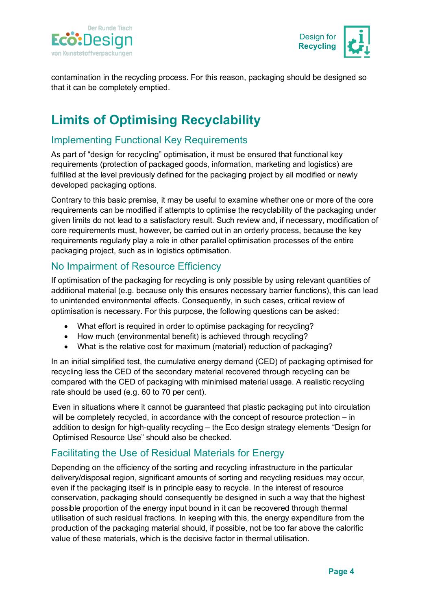



contamination in the recycling process. For this reason, packaging should be designed so that it can be completely emptied.

# **Limits of Optimising Recyclability**

### Implementing Functional Key Requirements

As part of "design for recycling" optimisation, it must be ensured that functional key requirements (protection of packaged goods, information, marketing and logistics) are fulfilled at the level previously defined for the packaging project by all modified or newly developed packaging options.

Contrary to this basic premise, it may be useful to examine whether one or more of the core requirements can be modified if attempts to optimise the recyclability of the packaging under given limits do not lead to a satisfactory result. Such review and, if necessary, modification of core requirements must, however, be carried out in an orderly process, because the key requirements regularly play a role in other parallel optimisation processes of the entire packaging project, such as in logistics optimisation.

#### No Impairment of Resource Efficiency

If optimisation of the packaging for recycling is only possible by using relevant quantities of additional material (e.g. because only this ensures necessary barrier functions), this can lead to unintended environmental effects. Consequently, in such cases, critical review of optimisation is necessary. For this purpose, the following questions can be asked:

- What effort is required in order to optimise packaging for recycling?
- How much (environmental benefit) is achieved through recycling?
- What is the relative cost for maximum (material) reduction of packaging?

In an initial simplified test, the cumulative energy demand (CED) of packaging optimised for recycling less the CED of the secondary material recovered through recycling can be compared with the CED of packaging with minimised material usage. A realistic recycling rate should be used (e.g. 60 to 70 per cent).

Even in situations where it cannot be guaranteed that plastic packaging put into circulation will be completely recycled, in accordance with the concept of resource protection – in addition to design for high-quality recycling – the Eco design strategy elements "Design for Optimised Resource Use" should also be checked.

### Facilitating the Use of Residual Materials for Energy

Depending on the efficiency of the sorting and recycling infrastructure in the particular delivery/disposal region, significant amounts of sorting and recycling residues may occur, even if the packaging itself is in principle easy to recycle. In the interest of resource conservation, packaging should consequently be designed in such a way that the highest possible proportion of the energy input bound in it can be recovered through thermal utilisation of such residual fractions. In keeping with this, the energy expenditure from the production of the packaging material should, if possible, not be too far above the calorific value of these materials, which is the decisive factor in thermal utilisation.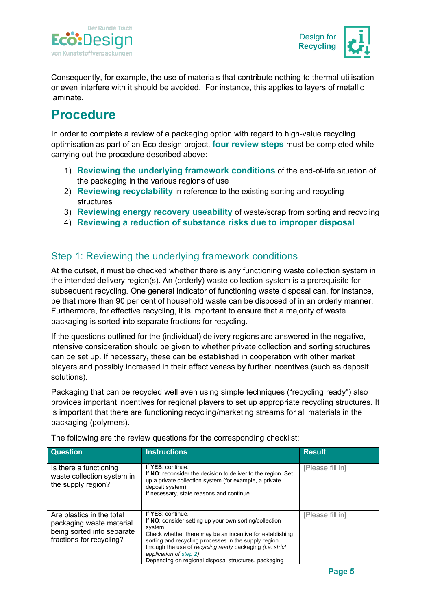



Consequently, for example, the use of materials that contribute nothing to thermal utilisation or even interfere with it should be avoided. For instance, this applies to layers of metallic laminate.

# **Procedure**

In order to complete a review of a packaging option with regard to high-value recycling optimisation as part of an Eco design project, **four review steps** must be completed while carrying out the procedure described above:

- 1) **Reviewing the underlying framework conditions** of the end-of-life situation of the packaging in the various regions of use
- 2) **Reviewing recyclability** in reference to the existing sorting and recycling structures
- 3) **Reviewing energy recovery useability** of waste/scrap from sorting and recycling
- 4) **Reviewing a reduction of substance risks due to improper disposal**

# Step 1: Reviewing the underlying framework conditions

At the outset, it must be checked whether there is any functioning waste collection system in the intended delivery region(s). An (orderly) waste collection system is a prerequisite for subsequent recycling. One general indicator of functioning waste disposal can, for instance, be that more than 90 per cent of household waste can be disposed of in an orderly manner. Furthermore, for effective recycling, it is important to ensure that a majority of waste packaging is sorted into separate fractions for recycling.

If the questions outlined for the (individual) delivery regions are answered in the negative, intensive consideration should be given to whether private collection and sorting structures can be set up. If necessary, these can be established in cooperation with other market players and possibly increased in their effectiveness by further incentives (such as deposit solutions).

Packaging that can be recycled well even using simple techniques ("recycling ready") also provides important incentives for regional players to set up appropriate recycling structures. It is important that there are functioning recycling/marketing streams for all materials in the packaging (polymers).

| <b>Question</b>                                                                                                 | <b>Instructions</b>                                                                                                                                                                                                                                                                                                                                        | <b>Result</b>    |
|-----------------------------------------------------------------------------------------------------------------|------------------------------------------------------------------------------------------------------------------------------------------------------------------------------------------------------------------------------------------------------------------------------------------------------------------------------------------------------------|------------------|
| Is there a functioning<br>waste collection system in<br>the supply region?                                      | If YES: continue.<br>If NO: reconsider the decision to deliver to the region. Set<br>up a private collection system (for example, a private<br>deposit system).<br>If necessary, state reasons and continue.                                                                                                                                               | [Please fill in] |
| Are plastics in the total<br>packaging waste material<br>being sorted into separate<br>fractions for recycling? | If YES: continue.<br>If NO: consider setting up your own sorting/collection<br>system.<br>Check whether there may be an incentive for establishing<br>sorting and recycling processes in the supply region<br>through the use of recycling ready packaging (i.e. strict<br>application of step 2).<br>Depending on regional disposal structures, packaging | [Please fill in] |

The following are the review questions for the corresponding checklist: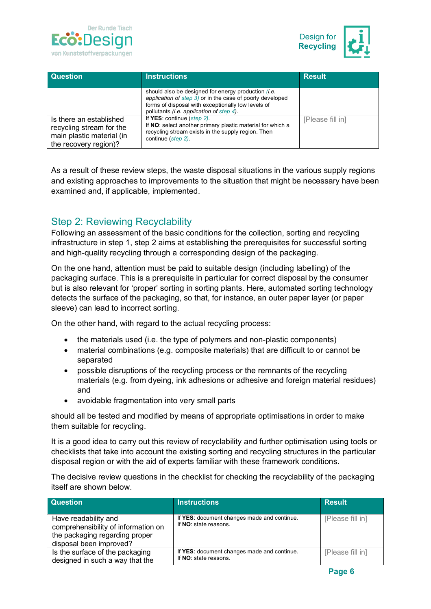



| <b>Question</b>                                                                                           | <b>Instructions</b>                                                                                                                                                                                                       | <b>Result</b>    |
|-----------------------------------------------------------------------------------------------------------|---------------------------------------------------------------------------------------------------------------------------------------------------------------------------------------------------------------------------|------------------|
|                                                                                                           | should also be designed for energy production <i>(i.e.</i><br>application of step 3) or in the case of poorly developed<br>forms of disposal with exceptionally low levels of<br>pollutants (i.e. application of step 4). |                  |
| Is there an established<br>recycling stream for the<br>main plastic material (in<br>the recovery region)? | If YES: continue (step 2).<br>If NO: select another primary plastic material for which a<br>recycling stream exists in the supply region. Then<br>continue (step 2).                                                      | [Please fill in] |

As a result of these review steps, the waste disposal situations in the various supply regions and existing approaches to improvements to the situation that might be necessary have been examined and, if applicable, implemented.

### Step 2: Reviewing Recyclability

Following an assessment of the basic conditions for the collection, sorting and recycling infrastructure in step 1, step 2 aims at establishing the prerequisites for successful sorting and high-quality recycling through a corresponding design of the packaging.

On the one hand, attention must be paid to suitable design (including labelling) of the packaging surface. This is a prerequisite in particular for correct disposal by the consumer but is also relevant for 'proper' sorting in sorting plants. Here, automated sorting technology detects the surface of the packaging, so that, for instance, an outer paper layer (or paper sleeve) can lead to incorrect sorting.

On the other hand, with regard to the actual recycling process:

- the materials used (i.e. the type of polymers and non-plastic components)
- material combinations (e.g. composite materials) that are difficult to or cannot be separated
- possible disruptions of the recycling process or the remnants of the recycling materials (e.g. from dyeing, ink adhesions or adhesive and foreign material residues) and
- avoidable fragmentation into very small parts

should all be tested and modified by means of appropriate optimisations in order to make them suitable for recycling.

It is a good idea to carry out this review of recyclability and further optimisation using tools or checklists that take into account the existing sorting and recycling structures in the particular disposal region or with the aid of experts familiar with these framework conditions.

The decisive review questions in the checklist for checking the recyclability of the packaging itself are shown below.

| <b>Question</b>                                                                                                          | <b>Instructions</b>                                                  | <b>Result</b>    |
|--------------------------------------------------------------------------------------------------------------------------|----------------------------------------------------------------------|------------------|
| Have readability and<br>comprehensibility of information on<br>the packaging regarding proper<br>disposal been improved? | If YES: document changes made and continue.<br>If NO: state reasons. | [Please fill in] |
| Is the surface of the packaging<br>designed in such a way that the                                                       | If YES: document changes made and continue.<br>If NO: state reasons. | [Please fill in] |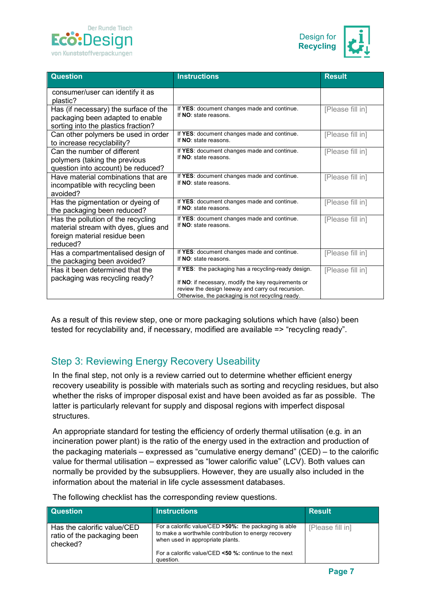



| <b>Question</b>                                                                                                         | <b>Instructions</b>                                                                                                                                                                                                 | <b>Result</b>    |
|-------------------------------------------------------------------------------------------------------------------------|---------------------------------------------------------------------------------------------------------------------------------------------------------------------------------------------------------------------|------------------|
| consumer/user can identify it as<br>plastic?                                                                            |                                                                                                                                                                                                                     |                  |
| Has (if necessary) the surface of the<br>packaging been adapted to enable<br>sorting into the plastics fraction?        | If YES: document changes made and continue.<br>If NO: state reasons.                                                                                                                                                | [Please fill in] |
| Can other polymers be used in order<br>to increase recyclability?                                                       | If YES: document changes made and continue.<br>If NO: state reasons.                                                                                                                                                | [Please fill in] |
| Can the number of different<br>polymers (taking the previous<br>question into account) be reduced?                      | If YES: document changes made and continue.<br>If NO: state reasons.                                                                                                                                                | [Please fill in] |
| Have material combinations that are<br>incompatible with recycling been<br>avoided?                                     | If YES: document changes made and continue.<br>If NO: state reasons.                                                                                                                                                | [Please fill in] |
| Has the pigmentation or dyeing of<br>the packaging been reduced?                                                        | If YES: document changes made and continue.<br>If NO: state reasons.                                                                                                                                                | [Please fill in] |
| Has the pollution of the recycling<br>material stream with dyes, glues and<br>foreign material residue been<br>reduced? | If YES: document changes made and continue.<br>If NO: state reasons.                                                                                                                                                | [Please fill in] |
| Has a compartmentalised design of<br>the packaging been avoided?                                                        | If YES: document changes made and continue.<br>If NO: state reasons.                                                                                                                                                | [Please fill in] |
| Has it been determined that the<br>packaging was recycling ready?                                                       | If YES: the packaging has a recycling-ready design.<br>If NO: if necessary, modify the key requirements or<br>review the design leeway and carry out recursion.<br>Otherwise, the packaging is not recycling ready. | [Please fill in] |

As a result of this review step, one or more packaging solutions which have (also) been tested for recyclability and, if necessary, modified are available => "recycling ready".

# Step 3: Reviewing Energy Recovery Useability

In the final step, not only is a review carried out to determine whether efficient energy recovery useability is possible with materials such as sorting and recycling residues, but also whether the risks of improper disposal exist and have been avoided as far as possible. The latter is particularly relevant for supply and disposal regions with imperfect disposal structures.

An appropriate standard for testing the efficiency of orderly thermal utilisation (e.g. in an incineration power plant) is the ratio of the energy used in the extraction and production of the packaging materials – expressed as "cumulative energy demand" (CED) – to the calorific value for thermal utilisation – expressed as "lower calorific value" (LCV). Both values can normally be provided by the subsuppliers. However, they are usually also included in the information about the material in life cycle assessment databases.

| <b>Question</b>                                                        | <b>Instructions</b>                                                                                                                                | <b>Result</b>    |
|------------------------------------------------------------------------|----------------------------------------------------------------------------------------------------------------------------------------------------|------------------|
| Has the calorific value/CED<br>ratio of the packaging been<br>checked? | For a calorific value/CED > 50%: the packaging is able<br>to make a worthwhile contribution to energy recovery<br>when used in appropriate plants. | [Please fill in] |
|                                                                        | For a calorific value/CED <50 %; continue to the next<br>question.                                                                                 |                  |

The following checklist has the corresponding review questions.